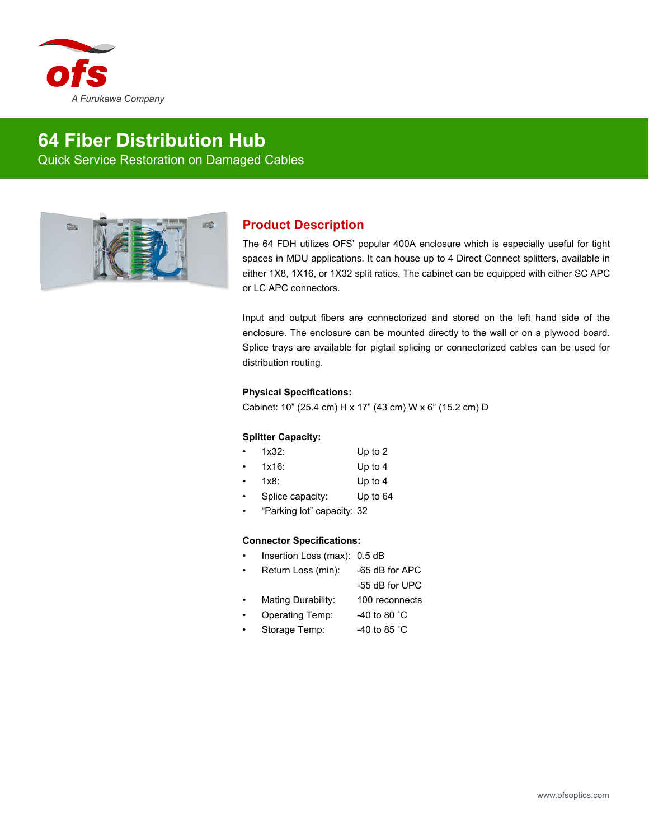

# **64 Fiber Distribution Hub** Quick Service Restoration on Damaged Cables



## **Product Description**

The 64 FDH utilizes OFS' popular 400A enclosure which is especially useful for tight spaces in MDU applications. It can house up to 4 Direct Connect splitters, available in either 1X8, 1X16, or 1X32 split ratios. The cabinet can be equipped with either SC APC or LC APC connectors.

Input and output fibers are connectorized and stored on the left hand side of the enclosure. The enclosure can be mounted directly to the wall or on a plywood board. Splice trays are available for pigtail splicing or connectorized cables can be used for distribution routing.

### **Physical Specifications:**

Cabinet: 10" (25.4 cm) H x 17" (43 cm) W x 6" (15.2 cm) D

#### **Splitter Capacity:**

| 1x32: | Up to 2 |
|-------|---------|
|       |         |

- 1x16: Up to 4
- 1x8: Up to 4
- Splice capacity: Up to 64
- "Parking lot" capacity: 32

### **Connector Specifications:**

- Insertion Loss (max): 0.5 dB
- Return Loss (min): -65 dB for APC
	- -55 dB for UPC
- Mating Durability: 100 reconnects
- Operating Temp: -40 to 80 ˚C
- Storage Temp: 40 to 85 °C